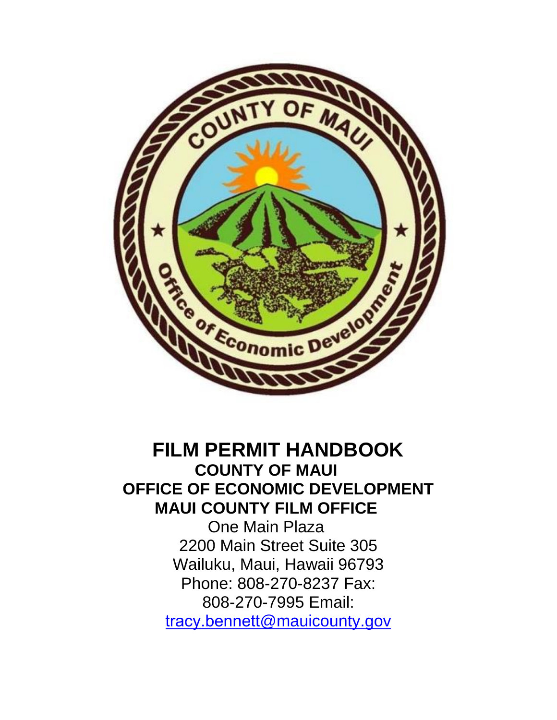

# **FILM PERMIT HANDBOOK COUNTY OF MAUI OFFICE OF ECONOMIC DEVELOPMENT MAUI COUNTY FILM OFFICE**

One Main Plaza 2200 Main Street Suite 305 Wailuku, Maui, Hawaii 96793 Phone: 808-270-8237 Fax: 808-270-7995 Email: tracy.bennett@mauicounty.gov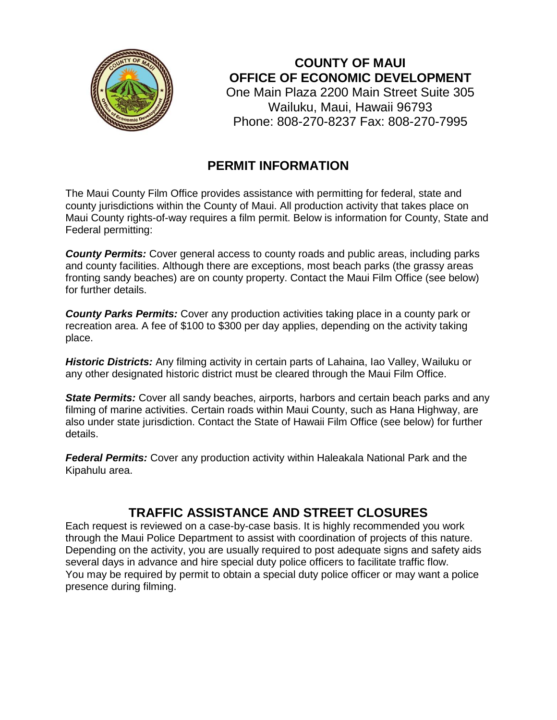

**COUNTY OF MAUI OFFICE OF ECONOMIC DEVELOPMENT** 

One Main Plaza 2200 Main Street Suite 305 Wailuku, Maui, Hawaii 96793 Phone: 808-270-8237 Fax: 808-270-7995

#### **PERMIT INFORMATION**

The Maui County Film Office provides assistance with permitting for federal, state and county jurisdictions within the County of Maui. All production activity that takes place on Maui County rights-of-way requires a film permit. Below is information for County, State and Federal permitting:

*County Permits:* Cover general access to county roads and public areas, including parks and county facilities. Although there are exceptions, most beach parks (the grassy areas fronting sandy beaches) are on county property. Contact the Maui Film Office (see below) for further details.

*County Parks Permits:* Cover any production activities taking place in a county park or recreation area. A fee of \$100 to \$300 per day applies, depending on the activity taking place.

*Historic Districts:* Any filming activity in certain parts of Lahaina, Iao Valley, Wailuku or any other designated historic district must be cleared through the Maui Film Office.

**State Permits:** Cover all sandy beaches, airports, harbors and certain beach parks and any filming of marine activities. Certain roads within Maui County, such as Hana Highway, are also under state jurisdiction. Contact the State of Hawaii Film Office (see below) for further details.

*Federal Permits:* Cover any production activity within Haleakala National Park and the Kipahulu area.

## **TRAFFIC ASSISTANCE AND STREET CLOSURES**

Each request is reviewed on a case-by-case basis. It is highly recommended you work through the Maui Police Department to assist with coordination of projects of this nature. Depending on the activity, you are usually required to post adequate signs and safety aids several days in advance and hire special duty police officers to facilitate traffic flow. You may be required by permit to obtain a special duty police officer or may want a police presence during filming.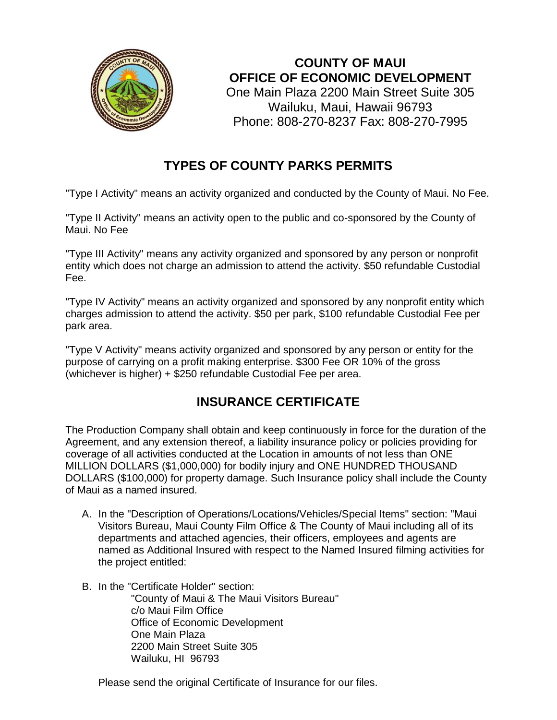

**COUNTY OF MAUI OFFICE OF ECONOMIC DEVELOPMENT** 

One Main Plaza 2200 Main Street Suite 305 Wailuku, Maui, Hawaii 96793 Phone: 808-270-8237 Fax: 808-270-7995

### **TYPES OF COUNTY PARKS PERMITS**

"Type I Activity" means an activity organized and conducted by the County of Maui. No Fee.

"Type II Activity" means an activity open to the public and co-sponsored by the County of Maui. No Fee

"Type III Activity" means any activity organized and sponsored by any person or nonprofit entity which does not charge an admission to attend the activity. \$50 refundable Custodial Fee.

"Type IV Activity" means an activity organized and sponsored by any nonprofit entity which charges admission to attend the activity. \$50 per park, \$100 refundable Custodial Fee per park area.

"Type V Activity" means activity organized and sponsored by any person or entity for the purpose of carrying on a profit making enterprise. \$300 Fee OR 10% of the gross (whichever is higher) + \$250 refundable Custodial Fee per area.

#### **INSURANCE CERTIFICATE**

The Production Company shall obtain and keep continuously in force for the duration of the Agreement, and any extension thereof, a liability insurance policy or policies providing for coverage of all activities conducted at the Location in amounts of not less than ONE MILLION DOLLARS (\$1,000,000) for bodily injury and ONE HUNDRED THOUSAND DOLLARS (\$100,000) for property damage. Such Insurance policy shall include the County of Maui as a named insured.

- A. In the "Description of Operations/Locations/Vehicles/Special Items" section: "Maui Visitors Bureau, Maui County Film Office & The County of Maui including all of its departments and attached agencies, their officers, employees and agents are named as Additional Insured with respect to the Named Insured filming activities for the project entitled:
- B. In the "Certificate Holder" section:

"County of Maui & The Maui Visitors Bureau" c/o Maui Film Office Office of Economic Development One Main Plaza 2200 Main Street Suite 305 Wailuku, HI 96793

Please send the original Certificate of Insurance for our files.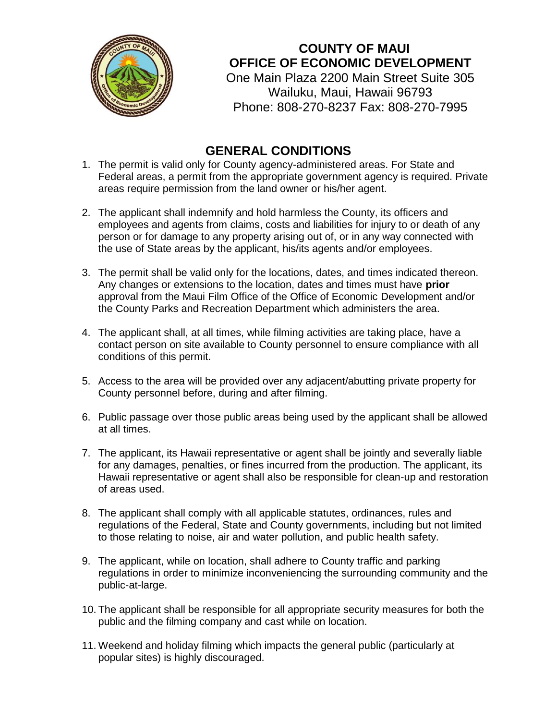

**COUNTY OF MAUI OFFICE OF ECONOMIC DEVELOPMENT** 

One Main Plaza 2200 Main Street Suite 305 Wailuku, Maui, Hawaii 96793 Phone: 808-270-8237 Fax: 808-270-7995

#### **GENERAL CONDITIONS**

- 1. The permit is valid only for County agency-administered areas. For State and Federal areas, a permit from the appropriate government agency is required. Private areas require permission from the land owner or his/her agent.
- 2. The applicant shall indemnify and hold harmless the County, its officers and employees and agents from claims, costs and liabilities for injury to or death of any person or for damage to any property arising out of, or in any way connected with the use of State areas by the applicant, his/its agents and/or employees.
- 3. The permit shall be valid only for the locations, dates, and times indicated thereon. Any changes or extensions to the location, dates and times must have **prior** approval from the Maui Film Office of the Office of Economic Development and/or the County Parks and Recreation Department which administers the area.
- 4. The applicant shall, at all times, while filming activities are taking place, have a contact person on site available to County personnel to ensure compliance with all conditions of this permit.
- 5. Access to the area will be provided over any adjacent/abutting private property for County personnel before, during and after filming.
- 6. Public passage over those public areas being used by the applicant shall be allowed at all times.
- 7. The applicant, its Hawaii representative or agent shall be jointly and severally liable for any damages, penalties, or fines incurred from the production. The applicant, its Hawaii representative or agent shall also be responsible for clean-up and restoration of areas used.
- 8. The applicant shall comply with all applicable statutes, ordinances, rules and regulations of the Federal, State and County governments, including but not limited to those relating to noise, air and water pollution, and public health safety.
- 9. The applicant, while on location, shall adhere to County traffic and parking regulations in order to minimize inconveniencing the surrounding community and the public-at-large.
- 10. The applicant shall be responsible for all appropriate security measures for both the public and the filming company and cast while on location.
- 11. Weekend and holiday filming which impacts the general public (particularly at popular sites) is highly discouraged.